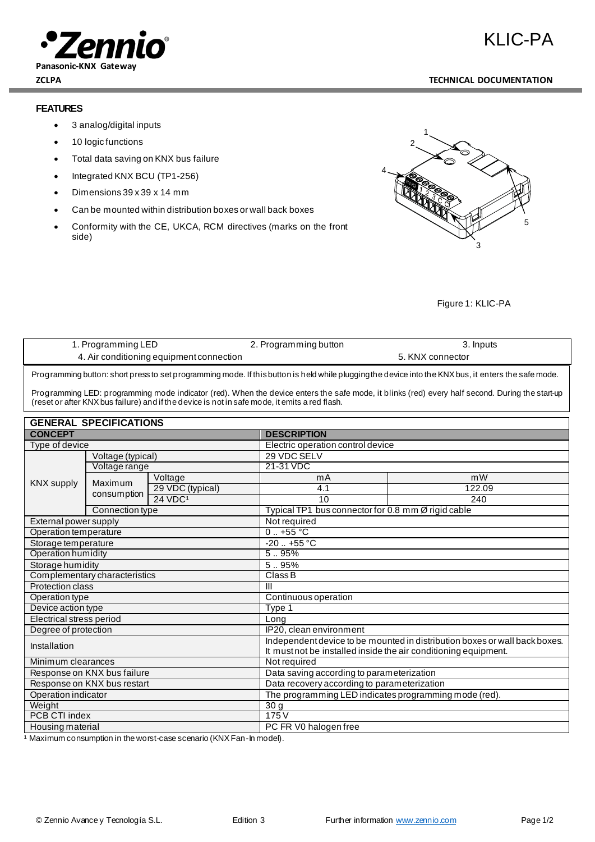

KLIC-PA

# **ZCLPA TECHNICAL DOCUMENTATION**

## **FEATURES**

- 3 analog/digital inputs
- 10 logic functions
- Total data saving on KNX bus failure
- Integrated KNX BCU (TP1-256)
- Dimensions 39 x 39 x 14 mm
- Can be mounted within distribution boxes or wall back boxes
- Conformity with the CE, UKCA, RCM directives (marks on the front side)



Figure 1: KLIC-PA

| 1. Programming LED                       | 2. Programming button | 3. Inputs        |
|------------------------------------------|-----------------------|------------------|
| 4. Air conditioning equipment connection |                       | 5. KNX connector |

examples of the set of the Safe mode. If this button is held while plugging the device into the KNX bus, it enters the safe mode.<br>Programming button: short press to set programming mode. If this button is held while pluggi

Programming LED: programming mode indicator (red). When the device enters the safe mode, it blinks (red) every half second. During the start-up (reset or after KNX bus failure) and if the device is not in safe mode, it emits a red flash.

| <b>GENERAL SPECIFICATIONS</b> |                             |                                                                            |                                                    |        |
|-------------------------------|-----------------------------|----------------------------------------------------------------------------|----------------------------------------------------|--------|
| <b>CONCEPT</b>                | <b>DESCRIPTION</b>          |                                                                            |                                                    |        |
| Type of device                |                             |                                                                            | Electric operation control device                  |        |
| <b>KNX supply</b>             | Voltage (typical)           |                                                                            | 29 VDC SELV                                        |        |
|                               | Voltage range               |                                                                            | 21-31 VDC                                          |        |
|                               | Maximum<br>consumption      | Voltage                                                                    | mA                                                 | mW     |
|                               |                             | 29 VDC (typical)                                                           | 4.1                                                | 122.09 |
|                               |                             | 24 VDC <sup>1</sup>                                                        | 10                                                 | 240    |
|                               | Connection type             |                                                                            | Typical TP1 bus connector for 0.8 mm Ø rigid cable |        |
| External power supply         |                             | Not required                                                               |                                                    |        |
| Operation temperature         |                             | $0.1 + 55$ °C                                                              |                                                    |        |
| Storage temperature           |                             | $-20$ $+55$ °C                                                             |                                                    |        |
| <b>Operation humidity</b>     |                             | 595%                                                                       |                                                    |        |
| Storage humidity              |                             | 5.95%                                                                      |                                                    |        |
| Complementary characteristics |                             | Class B                                                                    |                                                    |        |
| Protection class              |                             | III                                                                        |                                                    |        |
| Operation type                |                             | Continuous operation                                                       |                                                    |        |
| Device action type            |                             | Type 1                                                                     |                                                    |        |
| Electrical stress period      |                             | Long                                                                       |                                                    |        |
| Degree of protection          |                             | IP20, clean environment                                                    |                                                    |        |
| Installation                  |                             | Independent device to be mounted in distribution boxes or wall back boxes. |                                                    |        |
|                               |                             | It must not be installed inside the air conditioning equipment.            |                                                    |        |
| Minimum clearances            |                             |                                                                            | Not required                                       |        |
|                               | Response on KNX bus failure |                                                                            | Data saving according to parameterization          |        |
| Response on KNX bus restart   |                             | Data recovery according to parameterization                                |                                                    |        |
| Operation indicator           |                             | The programming LED indicates programming mode (red).                      |                                                    |        |
| Weight                        |                             | $\overline{30}$ g                                                          |                                                    |        |
| PCB CTI index                 |                             | 175V                                                                       |                                                    |        |
| Housing material              |                             | PC FR V0 halogen free                                                      |                                                    |        |

<sup>1</sup> Maximum consumption in the worst-case scenario (KNX Fan-In model).